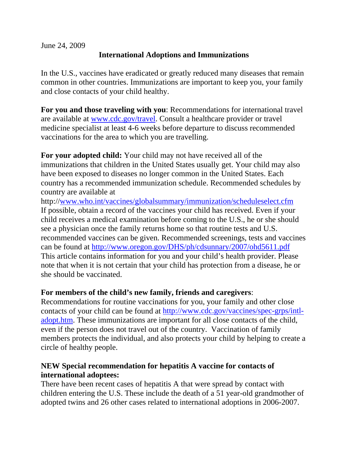June 24, 2009

## **International Adoptions and Immunizations**

In the U.S., vaccines have eradicated or greatly reduced many diseases that remain common in other countries. Immunizations are important to keep you, your family and close contacts of your child healthy.

**For you and those traveling with you**: Recommendations for international travel are available at [www.cdc.gov/travel.](http://www.cdc.gov/travel) Consult a healthcare provider or travel medicine specialist at least 4-6 weeks before departure to discuss recommended vaccinations for the area to which you are travelling.

**For your adopted child:** Your child may not have received all of the immunizations that children in the United States usually get. Your child may also have been exposed to diseases no longer common in the United States. Each country has a recommended immunization schedule. Recommended schedules by country are available at

http:/[/www.who.int/vaccines/globalsummary/immunization/scheduleselect.cfm](http://www.who.int/vaccines/globalsummary/immunization/scheduleselect.cfm) If possible, obtain a record of the vaccines your child has received. Even if your child receives a medical examination before coming to the U.S., he or she should see a physician once the family returns home so that routine tests and U.S. recommended vaccines can be given. Recommended screenings, tests and vaccines can be found at<http://www.oregon.gov/DHS/ph/cdsunnary/2007/ohd5611.pdf> This article contains information for you and your child's health provider. Please note that when it is not certain that your child has protection from a disease, he or she should be vaccinated.

## **For members of the child's new family, friends and caregivers**:

Recommendations for routine vaccinations for you, your family and other close contacts of your child can be found at [http://www.cdc.gov/vaccines/spec-grps/intl](http://www.cdc.gov/vaccines/spec-grps/intl-adopt.htm)[adopt.htm](http://www.cdc.gov/vaccines/spec-grps/intl-adopt.htm). These immunizations are important for all close contacts of the child, even if the person does not travel out of the country. Vaccination of family members protects the individual, and also protects your child by helping to create a circle of healthy people.

## **NEW Special recommendation for hepatitis A vaccine for contacts of international adoptees:**

There have been recent cases of hepatitis A that were spread by contact with children entering the U.S. These include the death of a 51 year-old grandmother of adopted twins and 26 other cases related to international adoptions in 2006-2007.